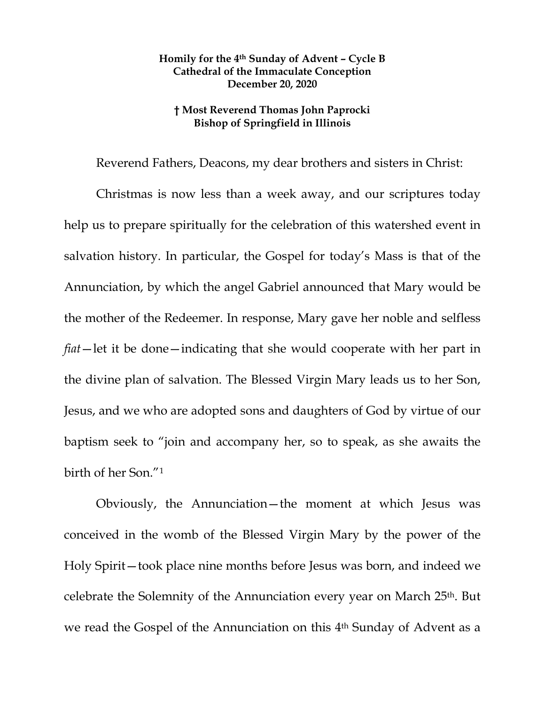## **Homily for the 4th Sunday of Advent – Cycle B Cathedral of the Immaculate Conception December 20, 2020**

## **† Most Reverend Thomas John Paprocki Bishop of Springfield in Illinois**

Reverend Fathers, Deacons, my dear brothers and sisters in Christ:

Christmas is now less than a week away, and our scriptures today help us to prepare spiritually for the celebration of this watershed event in salvation history. In particular, the Gospel for today's Mass is that of the Annunciation, by which the angel Gabriel announced that Mary would be the mother of the Redeemer. In response, Mary gave her noble and selfless *fiat*—let it be done—indicating that she would cooperate with her part in the divine plan of salvation. The Blessed Virgin Mary leads us to her Son, Jesus, and we who are adopted sons and daughters of God by virtue of our baptism seek to "join and accompany her, so to speak, as she awaits the birth of her Son.["1](#page-3-0)

Obviously, the Annunciation—the moment at which Jesus was conceived in the womb of the Blessed Virgin Mary by the power of the Holy Spirit—took place nine months before Jesus was born, and indeed we celebrate the Solemnity of the Annunciation every year on March 25th. But we read the Gospel of the Annunciation on this 4th Sunday of Advent as a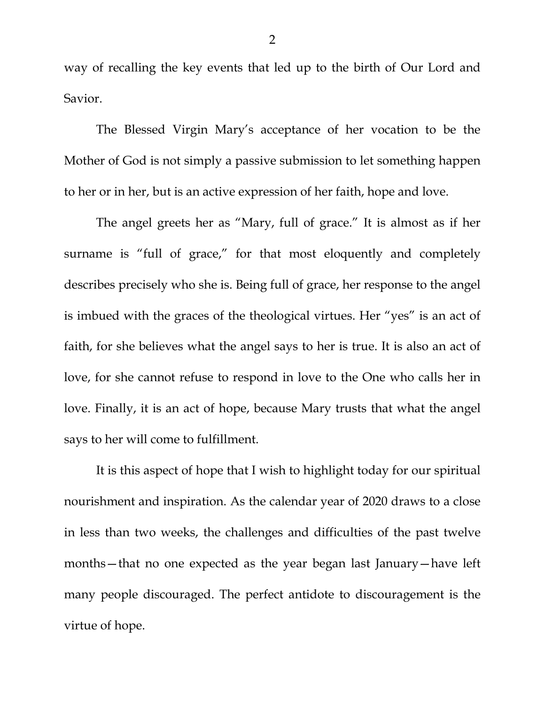way of recalling the key events that led up to the birth of Our Lord and Savior.

The Blessed Virgin Mary's acceptance of her vocation to be the Mother of God is not simply a passive submission to let something happen to her or in her, but is an active expression of her faith, hope and love.

The angel greets her as "Mary, full of grace." It is almost as if her surname is "full of grace," for that most eloquently and completely describes precisely who she is. Being full of grace, her response to the angel is imbued with the graces of the theological virtues. Her "yes" is an act of faith, for she believes what the angel says to her is true. It is also an act of love, for she cannot refuse to respond in love to the One who calls her in love. Finally, it is an act of hope, because Mary trusts that what the angel says to her will come to fulfillment.

It is this aspect of hope that I wish to highlight today for our spiritual nourishment and inspiration. As the calendar year of 2020 draws to a close in less than two weeks, the challenges and difficulties of the past twelve months—that no one expected as the year began last January—have left many people discouraged. The perfect antidote to discouragement is the virtue of hope.

2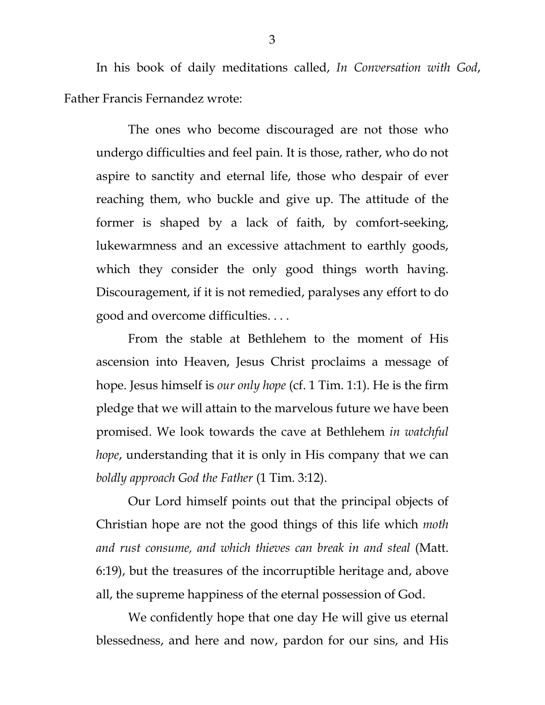In his book of daily meditations called, *In Conversation with God*, Father Francis Fernandez wrote:

The ones who become discouraged are not those who undergo difficulties and feel pain. It is those, rather, who do not aspire to sanctity and eternal life, those who despair of ever reaching them, who buckle and give up. The attitude of the former is shaped by a lack of faith, by comfort-seeking, lukewarmness and an excessive attachment to earthly goods, which they consider the only good things worth having. Discouragement, if it is not remedied, paralyses any effort to do good and overcome difficulties. . . .

From the stable at Bethlehem to the moment of His ascension into Heaven, Jesus Christ proclaims a message of hope. Jesus himself is *our only hope* (cf. 1 Tim. 1:1). He is the firm pledge that we will attain to the marvelous future we have been promised. We look towards the cave at Bethlehem *in watchful hope*, understanding that it is only in His company that we can *boldly approach God the Father* (1 Tim. 3:12).

Our Lord himself points out that the principal objects of Christian hope are not the good things of this life which *moth and rust consume, and which thieves can break in and steal* (Matt. 6:19), but the treasures of the incorruptible heritage and, above all, the supreme happiness of the eternal possession of God.

We confidently hope that one day He will give us eternal blessedness, and here and now, pardon for our sins, and His